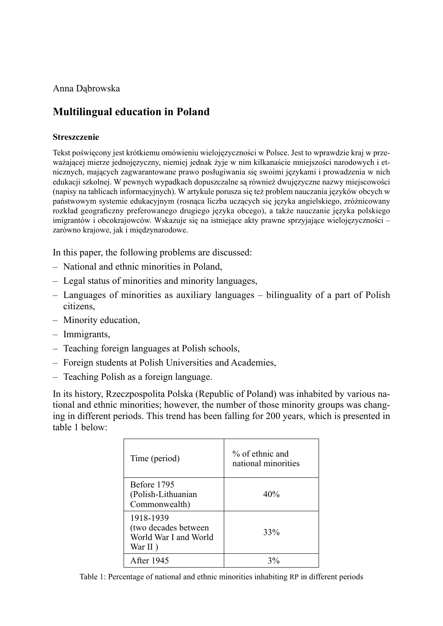Anna Dąbrowska

# **Multilingual education in Poland**

### **Streszczenie**

Tekst poświęcony jest krótkiemu omówieniu wielojęzyczności w Polsce. Jest to wprawdzie kraj w przeważającej mierze jednojęzyczny, niemiej jednak żyje w nim kilkanaście mniejszości narodowych i etnicznych, mających zagwarantowane prawo posługiwania się swoimi językami i prowadzenia w nich edukacji szkolnej. W pewnych wypadkach dopuszczalne są również dwujęzyczne nazwy miejscowości (napisy na tablicach informacyjnych). W artykule porusza się też problem nauczania języków obcych w państwowym systemie edukacyjnym (rosnąca liczba uczących się języka angielskiego, zróżnicowany rozkład geograficzny preferowanego drugiego języka obcego), a także nauczanie języka polskiego imigrantów i obcokrajowców. Wskazuje się na istniejące akty prawne sprzyjające wielojęzyczności – zarówno krajowe, jak i międzynarodowe.

In this paper, the following problems are discussed:

- National and ethnic minorities in Poland,
- Legal status of minorities and minority languages,
- Languages of minorities as auxiliary languages bilinguality of a part of Polish citizens,
- Minority education, –
- Immigrants,
- Teaching foreign languages at Polish schools, –
- Foreign students at Polish Universities and Academies,
- Teaching Polish as a foreign language.

In its history, Rzeczpospolita Polska (Republic of Poland) was inhabited by various national and ethnic minorities; however, the number of those minority groups was changing in different periods. This trend has been falling for 200 years, which is presented in table 1 below:

| Time (period)                                                         | $\%$ of ethnic and<br>national minorities |
|-----------------------------------------------------------------------|-------------------------------------------|
| Before 1795<br>(Polish-Lithuanian<br>Commonwealth)                    | 40%                                       |
| 1918-1939<br>(two decades between<br>World War I and World<br>War II) | 33%                                       |
| <b>After 1945</b>                                                     | 20/2                                      |

Table 1: Percentage of national and ethnic minorities inhabiting RP in different periods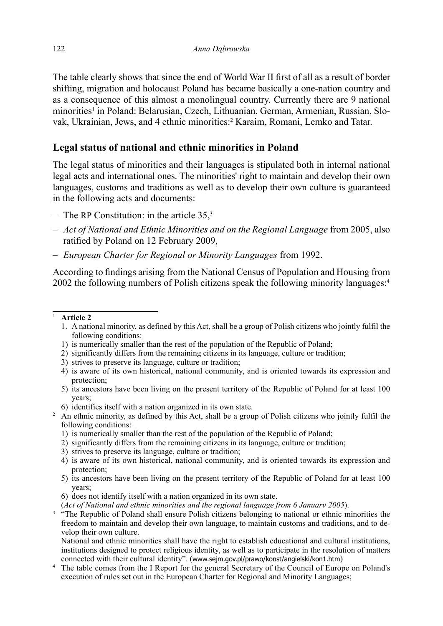The table clearly shows that since the end of World War II first of all as a result of border shifting, migration and holocaust Poland has became basically a one-nation country and as a consequence of this almost a monolingual country. Currently there are 9 national minorities<sup>1</sup> in Poland: Belarusian, Czech, Lithuanian, German, Armenian, Russian, Slovak, Ukrainian, Jews, and 4 ethnic minorities:<sup>2</sup> Karaim, Romani, Lemko and Tatar.

## **Legal status of national and ethnic minorities in Poland**

The legal status of minorities and their languages is stipulated both in internal national legal acts and international ones. The minorities' right to maintain and develop their own languages, customs and traditions as well as to develop their own culture is guaranteed in the following acts and documents:

- $-$  The RP Constitution: in the article 35,<sup>3</sup>
- *Act of National and Ethnic Minorities and on the Regional Language* from 2005, also ratified by Poland on 12 February 2009,
- *European Charter for Regional or Minority Languages* from 1992. –

According to findings arising from the National Census of Population and Housing from 2002 the following numbers of Polish citizens speak the following minority languages:<sup>4</sup>

#### <sup>1</sup>**Article 2**

- 1. A national minority, as defined by this Act, shall be a group of Polish citizens who jointly fulfil the following conditions:
- 1) is numerically smaller than the rest of the population of the Republic of Poland;
- 2) significantly differs from the remaining citizens in its language, culture or tradition;
- 3) strives to preserve its language, culture or tradition;
- 4) is aware of its own historical, national community, and is oriented towards its expression and protection;
- 5) its ancestors have been living on the present territory of the Republic of Poland for at least 100 years;
- 6) identifies itself with a nation organized in its own state.
- <sup>2</sup> An ethnic minority, as defined by this Act, shall be a group of Polish citizens who jointly fulfil the following conditions:
	- 1) is numerically smaller than the rest of the population of the Republic of Poland;
	- 2) significantly differs from the remaining citizens in its language, culture or tradition;
	- 3) strives to preserve its language, culture or tradition;
	- 4) is aware of its own historical, national community, and is oriented towards its expression and protection;
	- 5) its ancestors have been living on the present territory of the Republic of Poland for at least 100 years;
	- 6) does not identify itself with a nation organized in its own state.
	- (*Act of National and ethnic minorities and the regional language from 6 January 2005*).
- <sup>3</sup> "The Republic of Poland shall ensure Polish citizens belonging to national or ethnic minorities the freedom to maintain and develop their own language, to maintain customs and traditions, and to develop their own culture.

National and ethnic minorities shall have the right to establish educational and cultural institutions, institutions designed to protect religious identity, as well as to participate in the resolution of matters connected with their cultural identity". (www.sejm.gov.pl/prawo/konst/angielski/kon1.htm)

<sup>4</sup> The table comes from the I Report for the general Secretary of the Council of Europe on Poland's execution of rules set out in the European Charter for Regional and Minority Languages;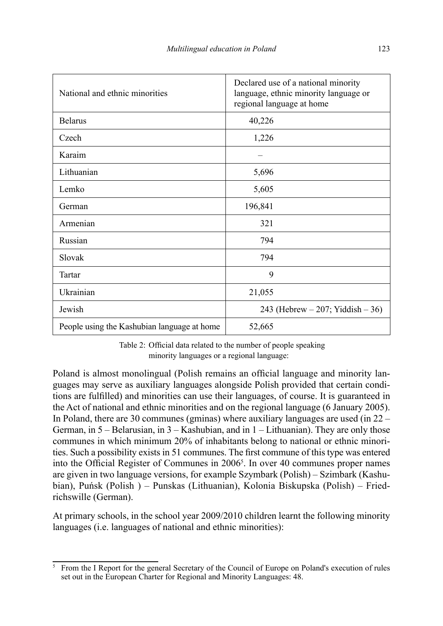| National and ethnic minorities              | Declared use of a national minority<br>language, ethnic minority language or<br>regional language at home |  |  |  |
|---------------------------------------------|-----------------------------------------------------------------------------------------------------------|--|--|--|
| <b>Belarus</b>                              | 40,226                                                                                                    |  |  |  |
| Czech                                       | 1,226                                                                                                     |  |  |  |
| Karaim                                      |                                                                                                           |  |  |  |
| Lithuanian                                  | 5,696                                                                                                     |  |  |  |
| Lemko                                       | 5,605                                                                                                     |  |  |  |
| German                                      | 196,841                                                                                                   |  |  |  |
| Armenian                                    | 321                                                                                                       |  |  |  |
| Russian                                     | 794                                                                                                       |  |  |  |
| Slovak                                      | 794                                                                                                       |  |  |  |
| Tartar                                      | 9                                                                                                         |  |  |  |
| Ukrainian                                   | 21,055                                                                                                    |  |  |  |
| Jewish                                      | 243 (Hebrew $-207$ ; Yiddish $-36$ )                                                                      |  |  |  |
| People using the Kashubian language at home | 52,665                                                                                                    |  |  |  |

Table 2: Official data related to the number of people speaking minority languages or a regional language:

Poland is almost monolingual (Polish remains an official language and minority languages may serve as auxiliary languages alongside Polish provided that certain conditions are fullled) and minorities can use their languages, of course. It is guaranteed in the Act of national and ethnic minorities and on the regional language (6 January 2005). In Poland, there are 30 communes (gminas) where auxiliary languages are used (in 22 – German, in 5 – Belarusian, in 3 – Kashubian, and in 1 – Lithuanian). They are only those communes in which minimum 20% of inhabitants belong to national or ethnic minorities. Such a possibility exists in 51 communes. The first commune of this type was entered into the Official Register of Communes in  $2006<sup>5</sup>$ . In over 40 communes proper names are given in two language versions, for example Szymbark (Polish) – Szimbark (Kashubian), Puńsk (Polish ) – Punskas (Lithuanian), Kolonia Biskupska (Polish) – Friedrichswille (German).

At primary schools, in the school year 2009/2010 children learnt the following minority languages (i.e. languages of national and ethnic minorities):

<sup>5</sup> From the I Report for the general Secretary of the Council of Europe on Poland's execution of rules set out in the European Charter for Regional and Minority Languages: 48.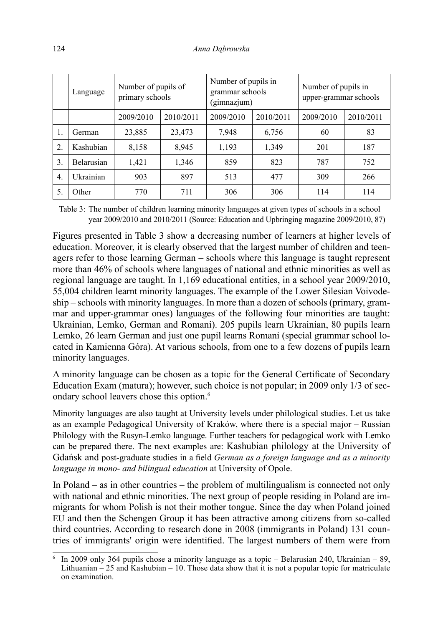|                  | Language   | Number of pupils of<br>primary schools |           | Number of pupils in<br>grammar schools<br>(gimnazjum) |           | Number of pupils in<br>upper-grammar schools |           |
|------------------|------------|----------------------------------------|-----------|-------------------------------------------------------|-----------|----------------------------------------------|-----------|
|                  |            | 2009/2010                              | 2010/2011 | 2009/2010                                             | 2010/2011 | 2009/2010                                    | 2010/2011 |
| $\mathbf{I}$ .   | German     | 23,885                                 | 23,473    | 7,948                                                 | 6,756     | 60                                           | 83        |
| 2.               | Kashubian  | 8,158                                  | 8,945     | 1,193                                                 | 1,349     | 201                                          | 187       |
| 3.               | Belarusian | 1,421                                  | 1,346     | 859                                                   | 823       | 787                                          | 752       |
| $\overline{4}$ . | Ukrainian  | 903                                    | 897       | 513                                                   | 477       | 309                                          | 266       |
| 5.               | Other      | 770                                    | 711       | 306                                                   | 306       | 114                                          | 114       |

Table 3: The number of children learning minority languages at given types of schools in a school year 2009/2010 and 2010/2011 (Source: Education and Upbringing magazine 2009/2010, 87)

Figures presented in Table 3 show a decreasing number of learners at higher levels of education. Moreover, it is clearly observed that the largest number of children and teenagers refer to those learning German – schools where this language is taught represent more than 46% of schools where languages of national and ethnic minorities as well as regional language are taught. In 1,169 educational entities, in a school year 2009/2010, 55,004 children learnt minority languages. The example of the Lower Silesian Voivodeship – schools with minority languages. In more than a dozen of schools (primary, grammar and upper-grammar ones) languages of the following four minorities are taught: Ukrainian, Lemko, German and Romani). 205 pupils learn Ukrainian, 80 pupils learn Lemko, 26 learn German and just one pupil learns Romani (special grammar school located in Kamienna Góra). At various schools, from one to a few dozens of pupils learn minority languages.

A minority language can be chosen as a topic for the General Certificate of Secondary Education Exam (matura); however, such choice is not popular; in 2009 only 1/3 of secondary school leavers chose this option.<sup>6</sup>

Minority languages are also taught at University levels under philological studies. Let us take as an example Pedagogical University of Kraków, where there is a special major – Russian Philology with the Rusyn-Lemko language. Further teachers for pedagogical work with Lemko can be prepared there. The next examples are: Kashubian philology at the University of Gdańsk and post-graduate studies in a field *German as a foreign language and as a minority language in mono- and bilingual education* at University of Opole.

In Poland – as in other countries – the problem of multilingualism is connected not only with national and ethnic minorities. The next group of people residing in Poland are immigrants for whom Polish is not their mother tongue. Since the day when Poland joined EU and then the Schengen Group it has been attractive among citizens from so-called third countries. According to research done in 2008 (immigrants in Poland) 131 countries of immigrants' origin were identified. The largest numbers of them were from

<sup>&</sup>lt;sup>6</sup> In 2009 only 364 pupils chose a minority language as a topic – Belarusian 240, Ukrainian – 89, Lithuanian  $-25$  and Kashubian  $-10$ . Those data show that it is not a popular topic for matriculate on examination.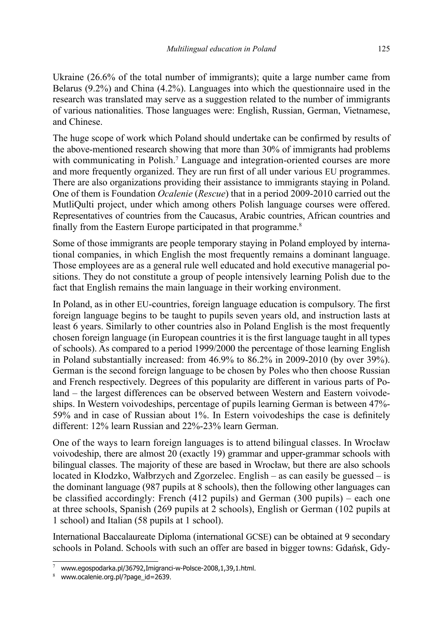Ukraine (26.6% of the total number of immigrants); quite a large number came from Belarus (9.2%) and China (4.2%). Languages into which the questionnaire used in the research was translated may serve as a suggestion related to the number of immigrants of various nationalities. Those languages were: English, Russian, German, Vietnamese, and Chinese.

The huge scope of work which Poland should undertake can be confirmed by results of the above-mentioned research showing that more than 30% of immigrants had problems with communicating in Polish.<sup>7</sup> Language and integration-oriented courses are more and more frequently organized. They are run first of all under various EU programmes. There are also organizations providing their assistance to immigrants staying in Poland. One of them is Foundation *Ocalenie* (*Rescue*) that in a period 2009-2010 carried out the MutliQulti project, under which among others Polish language courses were offered. Representatives of countries from the Caucasus, Arabic countries, African countries and finally from the Eastern Europe participated in that programme.<sup>8</sup>

Some of those immigrants are people temporary staying in Poland employed by international companies, in which English the most frequently remains a dominant language. Those employees are as a general rule well educated and hold executive managerial positions. They do not constitute a group of people intensively learning Polish due to the fact that English remains the main language in their working environment.

In Poland, as in other EU-countries, foreign language education is compulsory. The first foreign language begins to be taught to pupils seven years old, and instruction lasts at least 6 years. Similarly to other countries also in Poland English is the most frequently chosen foreign language (in European countries it is the first language taught in all types of schools). As compared to a period 1999/2000 the percentage of those learning English in Poland substantially increased: from 46.9% to 86.2% in 2009-2010 (by over 39%). German is the second foreign language to be chosen by Poles who then choose Russian and French respectively. Degrees of this popularity are different in various parts of Poland – the largest differences can be observed between Western and Eastern voivodeships. In Western voivodeships, percentage of pupils learning German is between 47%-  $59\%$  and in case of Russian about  $1\%$ . In Estern voivodeships the case is definitely different: 12% learn Russian and 22%-23% learn German.

One of the ways to learn foreign languages is to attend bilingual classes. In Wrocław voivodeship, there are almost 20 (exactly 19) grammar and upper-grammar schools with bilingual classes. The majority of these are based in Wrocław, but there are also schools located in Kłodzko, Wałbrzych and Zgorzelec. English – as can easily be guessed – is the dominant language (987 pupils at 8 schools), then the following other languages can be classified accordingly: French (412 pupils) and German (300 pupils) – each one at three schools, Spanish (269 pupils at 2 schools), English or German (102 pupils at 1 school) and Italian (58 pupils at 1 school).

International Baccalaureate Diploma (international GCSE) can be obtained at 9 secondary schools in Poland. Schools with such an offer are based in bigger towns: Gdańsk, Gdy-

<sup>7</sup>www.egospodarka.pl/36792,Imigranci-w-Polsce-2008,1,39,1.html.

<sup>8</sup>www.ocalenie.org.pl/?page\_id=2639.